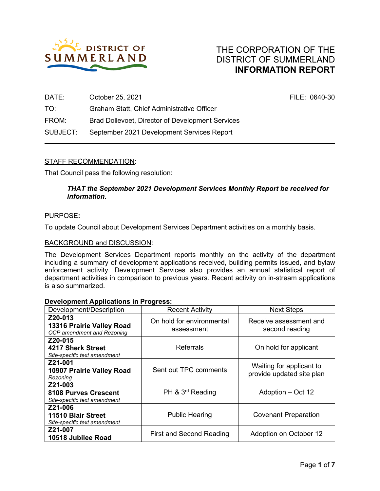

| DATE:    | October 25, 2021                                 | FILE: 0640-30 |
|----------|--------------------------------------------------|---------------|
| TO:      | Graham Statt, Chief Administrative Officer       |               |
| FROM:    | Brad Dollevoet, Director of Development Services |               |
| SUBJECT: | September 2021 Development Services Report       |               |
|          |                                                  |               |

## STAFF RECOMMENDATION:

That Council pass the following resolution:

## *THAT the September 2021 Development Services Monthly Report be received for information.*

#### PURPOSE**:**

To update Council about Development Services Department activities on a monthly basis.

#### BACKGROUND and DISCUSSION:

The Development Services Department reports monthly on the activity of the department including a summary of development applications received, building permits issued, and bylaw enforcement activity. Development Services also provides an annual statistical report of department activities in comparison to previous years. Recent activity on in-stream applications is also summarized.

#### **Development Applications in Progress:**

| .<br>Development/Description                                              | <b>Recent Activity</b>                  | <b>Next Steps</b>                                     |  |
|---------------------------------------------------------------------------|-----------------------------------------|-------------------------------------------------------|--|
| Z20-013<br><b>13316 Prairie Valley Road</b><br>OCP amendment and Rezoning | On hold for environmental<br>assessment | Receive assessment and<br>second reading              |  |
| Z20-015<br>4217 Sherk Street<br>Site-specific text amendment              | <b>Referrals</b>                        | On hold for applicant                                 |  |
| Z21-001<br>10907 Prairie Valley Road<br>Rezoning                          | Sent out TPC comments                   | Waiting for applicant to<br>provide updated site plan |  |
| Z21-003<br><b>8108 Purves Crescent</b><br>Site-specific text amendment    | PH & $3^{\text{rd}}$ Reading            | Adoption – Oct 12                                     |  |
| Z21-006<br>11510 Blair Street<br>Site-specific text amendment             | <b>Public Hearing</b>                   | <b>Covenant Preparation</b>                           |  |
| Z21-007<br>10518 Jubilee Road                                             | First and Second Reading                | Adoption on October 12                                |  |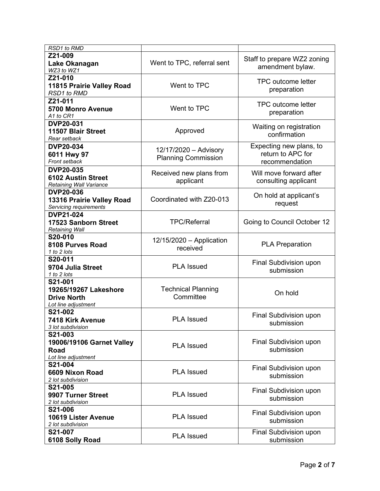| RSD1 to RMD                                                                   |                                                     |                                                                |  |
|-------------------------------------------------------------------------------|-----------------------------------------------------|----------------------------------------------------------------|--|
| Z21-009<br>Lake Okanagan<br>WZ3 to WZ1                                        | Went to TPC, referral sent                          | Staff to prepare WZ2 zoning<br>amendment bylaw.                |  |
| Z21-010<br>11815 Prairie Valley Road<br><b>RSD1 to RMD</b>                    | Went to TPC                                         | <b>TPC outcome letter</b><br>preparation                       |  |
| Z21-011<br><b>5700 Monro Avenue</b><br>A1 to CR1                              | Went to TPC                                         | <b>TPC outcome letter</b><br>preparation                       |  |
| <b>DVP20-031</b><br>11507 Blair Street<br>Rear setback                        | Approved                                            | Waiting on registration<br>confirmation                        |  |
| <b>DVP20-034</b><br>6011 Hwy 97<br>Front setback                              | 12/17/2020 - Advisory<br><b>Planning Commission</b> | Expecting new plans, to<br>return to APC for<br>recommendation |  |
| <b>DVP20-035</b><br><b>6102 Austin Street</b><br>Retaining Wall Variance      | Received new plans from<br>applicant                | Will move forward after<br>consulting applicant                |  |
| <b>DVP20-036</b><br>13316 Prairie Valley Road<br>Servicing requirements       | Coordinated with Z20-013                            | On hold at applicant's<br>request                              |  |
| <b>DVP21-024</b><br>17523 Sanborn Street<br><b>Retaining Wall</b>             | <b>TPC/Referral</b>                                 | Going to Council October 12                                    |  |
| S20-010<br>8108 Purves Road<br>1 to 2 lots                                    | $12/15/2020 -$ Application<br>received              | <b>PLA Preparation</b>                                         |  |
| S20-011<br>9704 Julia Street<br>1 to 2 lots                                   | <b>PLA Issued</b>                                   | Final Subdivision upon<br>submission                           |  |
| S21-001<br>19265/19267 Lakeshore<br><b>Drive North</b><br>Lot line adjustment | <b>Technical Planning</b><br>Committee              | On hold                                                        |  |
| S21-002<br>7418 Kirk Avenue<br>3 lot subdivision                              | <b>PLA Issued</b>                                   | Final Subdivision upon<br>submission                           |  |
| S21-003<br>19006/19106 Garnet Valley<br>Road<br>Lot line adjustment           | <b>PLA Issued</b>                                   | Final Subdivision upon<br>submission                           |  |
| S21-004<br>6609 Nixon Road<br>2 lot subdivision                               | <b>PLA Issued</b>                                   | Final Subdivision upon<br>submission                           |  |
| S21-005<br>9907 Turner Street<br>2 lot subdivision                            | <b>PLA Issued</b>                                   | Final Subdivision upon<br>submission                           |  |
| S21-006<br>10619 Lister Avenue<br>2 lot subdivision                           | <b>PLA Issued</b>                                   | Final Subdivision upon<br>submission                           |  |
| S21-007<br>6108 Solly Road                                                    | <b>PLA Issued</b>                                   | Final Subdivision upon<br>submission                           |  |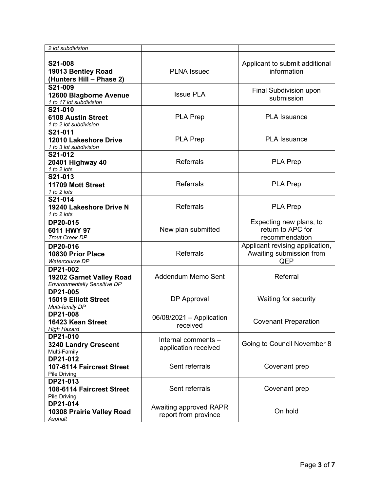| 2 lot subdivision                                                           |                                                |                                                                    |  |
|-----------------------------------------------------------------------------|------------------------------------------------|--------------------------------------------------------------------|--|
| S21-008<br>19013 Bentley Road<br>(Hunters Hill - Phase 2)                   | <b>PLNA</b> Issued                             | Applicant to submit additional<br>information                      |  |
| S21-009<br>12600 Blagborne Avenue<br>1 to 17 lot subdivision                | <b>Issue PLA</b>                               | Final Subdivision upon<br>submission                               |  |
| S21-010<br><b>6108 Austin Street</b><br>1 to 2 lot subdivision              | <b>PLA Prep</b>                                | <b>PLA Issuance</b>                                                |  |
| S21-011<br>12010 Lakeshore Drive<br>1 to 3 lot subdivision                  | <b>PLA Prep</b>                                | <b>PLA Issuance</b>                                                |  |
| S21-012<br>20401 Highway 40<br>1 to 2 lots                                  | <b>Referrals</b>                               | <b>PLA Prep</b>                                                    |  |
| S21-013<br>11709 Mott Street<br>1 to 2 lots                                 | <b>Referrals</b>                               | <b>PLA Prep</b>                                                    |  |
| S21-014<br>19240 Lakeshore Drive N<br>1 to 2 lots                           | <b>Referrals</b>                               | <b>PLA Prep</b>                                                    |  |
| DP20-015<br>6011 HWY 97<br><b>Trout Creek DP</b>                            | New plan submitted                             | Expecting new plans, to<br>return to APC for<br>recommendation     |  |
| DP20-016<br>10830 Prior Place<br>Watercourse DP                             | <b>Referrals</b>                               | Applicant revising application,<br>Awaiting submission from<br>QEP |  |
| DP21-002<br>19202 Garnet Valley Road<br><b>Environmentally Sensitive DP</b> | Addendum Memo Sent                             | Referral                                                           |  |
| DP21-005<br>DP Approval<br><b>15019 Elliott Street</b><br>Multi-family DP   |                                                | Waiting for security                                               |  |
| DP21-008<br>16423 Kean Street<br><b>High Hazard</b>                         | $06/08/2021 - Application$<br>received         | <b>Covenant Preparation</b>                                        |  |
| DP21-010<br><b>3240 Landry Crescent</b><br>Multi-Family                     | Internal comments -<br>application received    | Going to Council November 8                                        |  |
| DP21-012<br>107-6114 Faircrest Street<br>Pile Driving                       | Sent referrals                                 | Covenant prep                                                      |  |
| DP21-013<br>108-6114 Faircrest Street<br>Pile Driving                       | Sent referrals                                 | Covenant prep                                                      |  |
| DP21-014<br>10308 Prairie Valley Road<br>Asphalt                            | Awaiting approved RAPR<br>report from province | On hold                                                            |  |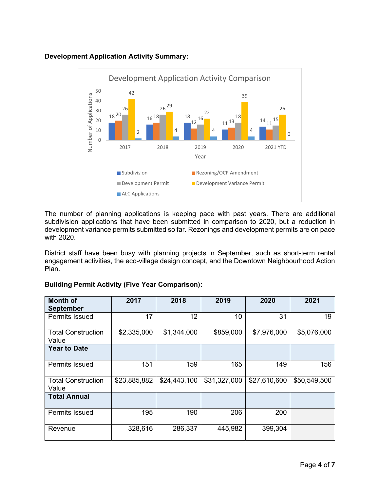# **Development Application Activity Summary:**



The number of planning applications is keeping pace with past years. There are additional subdivision applications that have been submitted in comparison to 2020, but a reduction in development variance permits submitted so far. Rezonings and development permits are on pace with 2020.

District staff have been busy with planning projects in September, such as short-term rental engagement activities, the eco-village design concept, and the Downtown Neighbourhood Action Plan.

| <b>Month of</b>                    | 2017         | 2018         | 2019         | 2020         | 2021         |
|------------------------------------|--------------|--------------|--------------|--------------|--------------|
| <b>September</b>                   |              |              |              |              |              |
| <b>Permits Issued</b>              | 17           | 12           | 10           | 31           | 19           |
| <b>Total Construction</b><br>Value | \$2,335,000  | \$1,344,000  | \$859,000    | \$7,976,000  | \$5,076,000  |
| <b>Year to Date</b>                |              |              |              |              |              |
| <b>Permits Issued</b>              | 151          | 159          | 165          | 149          | 156          |
| <b>Total Construction</b><br>Value | \$23,885,882 | \$24,443,100 | \$31,327,000 | \$27,610,600 | \$50,549,500 |
| <b>Total Annual</b>                |              |              |              |              |              |
| <b>Permits Issued</b>              | 195          | 190          | 206          | 200          |              |
| Revenue                            | 328,616      | 286,337      | 445,982      | 399,304      |              |

## **Building Permit Activity (Five Year Comparison):**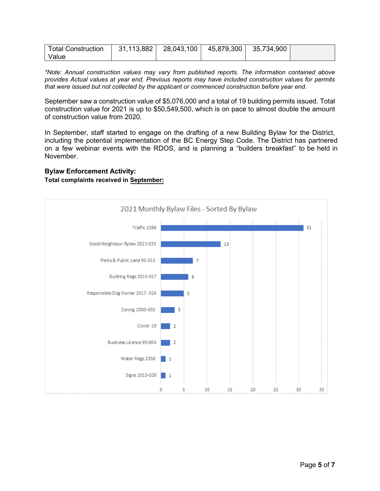| <b>Total Construction</b> | 31,113,882 | 28,043,100丨 | 45,879,300 35,734,900 |  |
|---------------------------|------------|-------------|-----------------------|--|
| Value                     |            |             |                       |  |

*\*Note: Annual construction values may vary from published reports. The information contained above provides Actual values at year end. Previous reports may have included construction values for permits that were issued but not collected by the applicant or commenced construction before year end.*

September saw a construction value of \$5,076,000 and a total of 19 building permits issued. Total construction value for 2021 is up to \$50,549,500, which is on pace to almost double the amount of construction value from 2020.

In September, staff started to engage on the drafting of a new Building Bylaw for the District, including the potential implementation of the BC Energy Step Code. The District has partnered on a few webinar events with the RDOS, and is planning a "builders breakfast" to be held in November.

#### **Bylaw Enforcement Activity:**

#### **Total complaints received in September:**

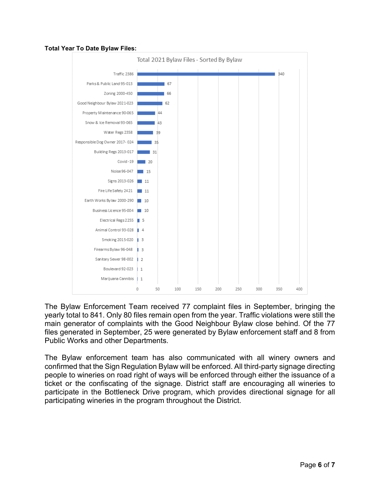### **Total Year To Date Bylaw Files:**



The Bylaw Enforcement Team received 77 complaint files in September, bringing the yearly total to 841. Only 80 files remain open from the year. Traffic violations were still the main generator of complaints with the Good Neighbour Bylaw close behind. Of the 77 files generated in September, 25 were generated by Bylaw enforcement staff and 8 from Public Works and other Departments.

The Bylaw enforcement team has also communicated with all winery owners and confirmed that the Sign Regulation Bylaw will be enforced. All third-party signage directing people to wineries on road right of ways will be enforced through either the issuance of a ticket or the confiscating of the signage. District staff are encouraging all wineries to participate in the Bottleneck Drive program, which provides directional signage for all participating wineries in the program throughout the District.